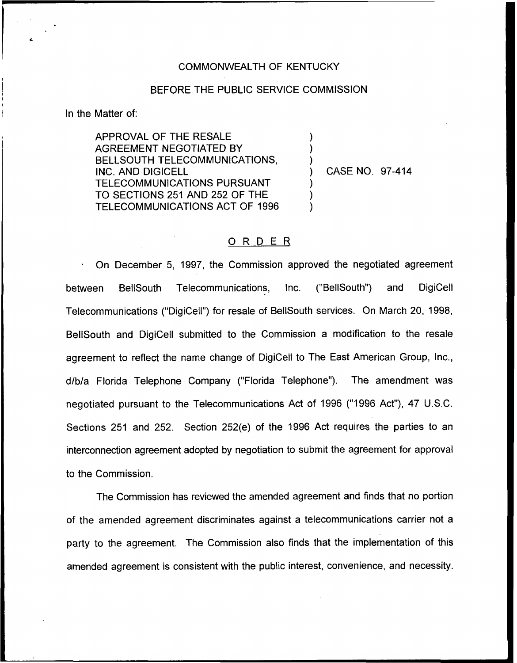## COMMONWEALTH OF KENTUCKY

## BEFORE THE PUBLIC SERVICE COMMISSION

) ) )

) ) )

In the Matter of:

APPROVAL OF THE RESALE AGREEMENT NEGOTIATED BY BELLSOUTH TELECOMMUNICATIONS, INC. AND DIGICELL TELECOMMUNICATIONS PURSUANT TO SECTIONS 251 AND 252 OF THE TELECOMMUNICATIONS ACT OF 1996

) CASE NO. 97-414

## 0 <sup>R</sup> <sup>D</sup> <sup>E</sup> <sup>R</sup>

On December 5, 1997, the Commission approved the negotiated agreement between BellSouth Telecommunications, Inc. ("BellSouth") and DigiCell Telecommunications ("DigiCell") for resale of BellSouth services. On March 20, 199S, BellSouth and DigiCell submitted to the Commission a modification to the resale agreement to reflect the name change of DigiCell to The East American Group, Inc., d/b/a Florida Telephone Company ("Florida Telephone"). The amendment was negotiated pursuant to the Telecommunications Act of 1996 ("1996 Act"), 47 U.S.C. Sections 251 and 252. Section 252(e) of the 1996 Act requires the parties to an interconnection agreement adopted by negotiation to submit the agreement for approval to the Commission.

The Commission has reviewed the amended agreement and finds that no portion of the amended agreement discriminates against a telecommunications carrier not a party to the agreement. The Commission also finds that the implementation of this amended agreement is consistent with the public interest, convenience, and necessity.